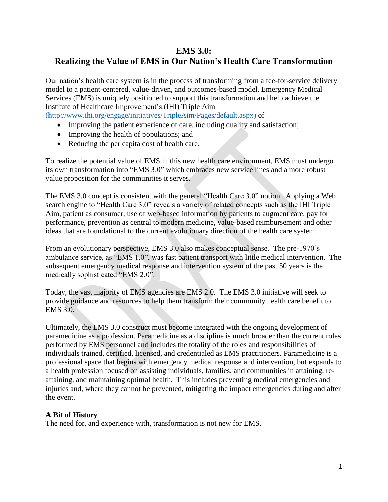## **EMS 3.0:**

# **Realizing the Value of EMS in Our Nation's Health Care Transformation**

Our nation's health care system is in the process of transforming from a fee-for-service delivery model to a patient-centered, value-driven, and outcomes-based model. Emergency Medical Services (EMS) is uniquely positioned to support this transformation and help achieve the Institute of Healthcare Improvement's (IHI) Triple Aim [\(http://www.ihi.org/engage/initiatives/TripleAim/Pages/default.aspx\)](http://www.ihi.org/engage/initiatives/TripleAim/Pages/default.aspx) of

- Improving the patient experience of care, including quality and satisfaction;
- Improving the health of populations; and
- Reducing the per capita cost of health care.

To realize the potential value of EMS in this new health care environment, EMS must undergo its own transformation into "EMS 3.0" which embraces new service lines and a more robust value proposition for the communities it serves.

The EMS 3.0 concept is consistent with the general "Health Care 3.0" notion. Applying a Web search engine to "Health Care 3.0" reveals a variety of related concepts such as the IHI Triple Aim, patient as consumer, use of web-based information by patients to augment care, pay for performance, prevention as central to modern medicine, value-based reimbursement and other ideas that are foundational to the current evolutionary direction of the health care system.

From an evolutionary perspective, EMS 3.0 also makes conceptual sense. The pre-1970's ambulance service, as "EMS 1.0", was fast patient transport with little medical intervention. The subsequent emergency medical response and intervention system of the past 50 years is the medically sophisticated "EMS 2.0".

Today, the vast majority of EMS agencies are EMS 2.0. The EMS 3.0 initiative will seek to provide guidance and resources to help them transform their community health care benefit to EMS 3.0.

Ultimately, the EMS 3.0 construct must become integrated with the ongoing development of paramedicine as a profession. Paramedicine as a discipline is much broader than the current roles performed by EMS personnel and includes the totality of the roles and responsibilities of individuals trained, certified, licensed, and credentialed as EMS practitioners. Paramedicine is a professional space that begins with emergency medical response and intervention, but expands to a health profession focused on assisting individuals, families, and communities in attaining, reattaining, and maintaining optimal health. This includes preventing medical emergencies and injuries and, where they cannot be prevented, mitigating the impact emergencies during and after the event.

#### **A Bit of History**

The need for, and experience with, transformation is not new for EMS.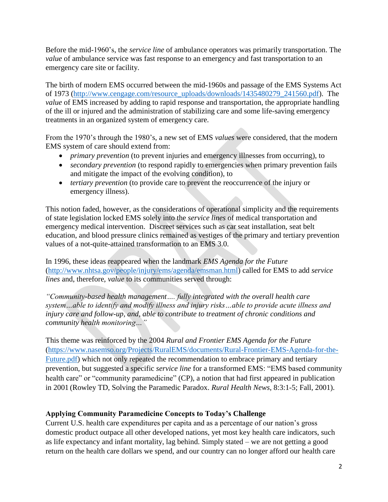Before the mid-1960's, the *service line* of ambulance operators was primarily transportation. The *value* of ambulance service was fast response to an emergency and fast transportation to an emergency care site or facility.

The birth of modern EMS occurred between the mid-1960s and passage of the EMS Systems Act of 1973 [\(http://www.cengage.com/resource\\_uploads/downloads/1435480279\\_241560.pdf\)](http://www.cengage.com/resource_uploads/downloads/1435480279_241560.pdf). The *value* of EMS increased by adding to rapid response and transportation, the appropriate handling of the ill or injured and the administration of stabilizing care and some life-saving emergency treatments in an organized system of emergency care.

From the 1970's through the 1980's, a new set of EMS *values* were considered, that the modern EMS system of care should extend from:

- *primary prevention* (to prevent injuries and emergency illnesses from occurring), to
- *secondary prevention* (to respond rapidly to emergencies when primary prevention fails and mitigate the impact of the evolving condition), to
- *tertiary prevention* (to provide care to prevent the reoccurrence of the injury or emergency illness).

This notion faded, however, as the considerations of operational simplicity and the requirements of state legislation locked EMS solely into the *service lines* of medical transportation and emergency medical intervention. Discreet services such as car seat installation, seat belt education, and blood pressure clinics remained as vestiges of the primary and tertiary prevention values of a not-quite-attained transformation to an EMS 3.0.

In 1996, these ideas reappeared when the landmark *EMS Agenda for the Future* [\(http://www.nhtsa.gov/people/injury/ems/agenda/emsman.html\)](http://www.nhtsa.gov/people/injury/ems/agenda/emsman.html) called for EMS to add *service lines* and, therefore, *value* to its communities served through:

*"Community-based health management…. fully integrated with the overall health care system…able to identify and modify illness and injury risks…able to provide acute illness and injury care and follow-up, and, able to contribute to treatment of chronic conditions and community health monitoring…"*

This theme was reinforced by the 2004 *Rural and Frontier EMS Agenda for the Future* [\(https://www.nasemso.org/Projects/RuralEMS/documents/Rural-Frontier-EMS-Agenda-for-the-](https://www.nasemso.org/Projects/RuralEMS/documents/Rural-Frontier-EMS-Agenda-for-the-Future.pdf)[Future.pdf\)](https://www.nasemso.org/Projects/RuralEMS/documents/Rural-Frontier-EMS-Agenda-for-the-Future.pdf) which not only repeated the recommendation to embrace primary and tertiary prevention, but suggested a specific *service line* for a transformed EMS: "EMS based community health care" or "community paramedicine" (CP), a notion that had first appeared in publication in 2001 (Rowley TD, Solving the Paramedic Paradox. *Rural Health News*, 8:3:1-5; Fall, 2001).

## **Applying Community Paramedicine Concepts to Today's Challenge**

Current U.S. health care expenditures per capita and as a percentage of our nation's gross domestic product outpace all other developed nations, yet most key health care indicators, such as life expectancy and infant mortality, lag behind. Simply stated – we are not getting a good return on the health care dollars we spend, and our country can no longer afford our health care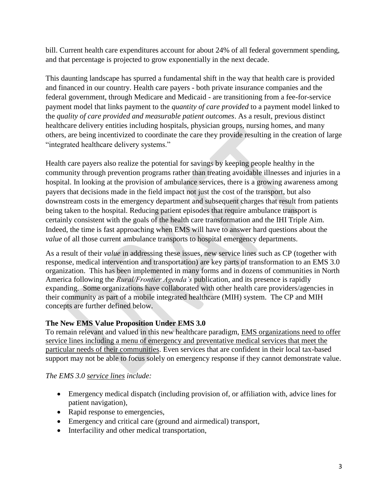bill. Current health care expenditures account for about [24% of all federal government spending,](http://www.cbpp.org/research/policy-basics-where-do-our-federal-tax-dollars-go) and that percentage is projected to grow exponentially in the next decade.

This daunting landscape has spurred a fundamental shift in the way that health care is provided and financed in our country. Health care payers - both private insurance companies and the federal government, through Medicare and Medicaid - are transitioning from a fee-for-service payment model that links payment to the *quantity of care provided* to a payment model linked to the *quality of care provided and measurable patient outcomes*. As a result, previous distinct healthcare delivery entities including hospitals, physician groups, nursing homes, and many others, are being incentivized to coordinate the care they provide resulting in the creation of large "integrated healthcare delivery systems."

Health care payers also realize the potential for savings by keeping people healthy in the community through prevention programs rather than treating avoidable illnesses and injuries in a hospital. In looking at the provision of ambulance services, there is a growing awareness among payers that decisions made in the field impact not just the cost of the transport, but also downstream costs in the emergency department and subsequent charges that result from patients being taken to the hospital. Reducing patient episodes that require ambulance transport is certainly consistent with the goals of the health care transformation and the IHI Triple Aim. Indeed, the time is fast approaching when EMS will have to answer hard questions about the *value* of all those current ambulance transports to hospital emergency departments.

As a result of their *value* in addressing these issues, new service lines such as CP (together with response, medical intervention and transportation) are key parts of transformation to an EMS 3.0 organization. This has been implemented in many forms and in dozens of communities in North America following the *Rural/Frontier Agenda's* publication, and its presence is rapidly expanding. Some organizations have collaborated with other health care providers/agencies in their community as part of a mobile integrated healthcare (MIH) system. The CP and MIH concepts are further defined below.

## **The New EMS Value Proposition Under EMS 3.0**

To remain relevant and valued in this new healthcare paradigm, EMS organizations need to offer service lines including a menu of emergency and preventative medical services that meet the particular needs of their communities. Even services that are confident in their local tax-based support may not be able to focus solely on emergency response if they cannot demonstrate value.

#### *The EMS 3.0 service lines include:*

- Emergency medical dispatch (including provision of, or affiliation with, advice lines for patient navigation),
- Rapid response to emergencies,
- Emergency and critical care (ground and airmedical) transport,
- Interfacility and other medical transportation,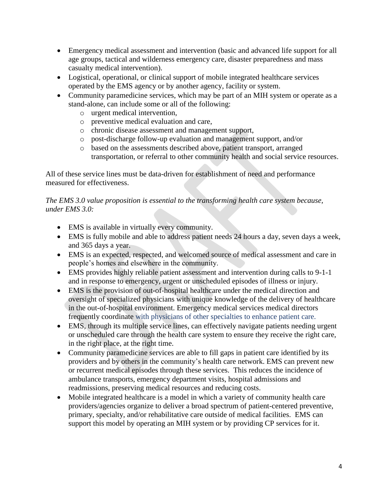- Emergency medical assessment and intervention (basic and advanced life support for all age groups, tactical and wilderness emergency care, disaster preparedness and mass casualty medical intervention).
- Logistical, operational, or clinical support of mobile integrated healthcare services operated by the EMS agency or by another agency, facility or system.
- Community paramedicine services, which may be part of an MIH system or operate as a stand-alone, can include some or all of the following:
	- o urgent medical intervention,
	- o preventive medical evaluation and care,
	- o chronic disease assessment and management support,
	- o post-discharge follow-up evaluation and management support, and/or
	- o based on the assessments described above, patient transport, arranged transportation, or referral to other community health and social service resources.

All of these service lines must be data-driven for establishment of need and performance measured for effectiveness.

*The EMS 3.0 value proposition is essential to the transforming health care system because, under EMS 3.0:*

- EMS is available in virtually every community.
- EMS is fully mobile and able to address patient needs 24 hours a day, seven days a week, and 365 days a year.
- EMS is an expected, respected, and welcomed source of medical assessment and care in people's homes and elsewhere in the community.
- EMS provides highly reliable patient assessment and intervention during calls to 9-1-1 and in response to emergency, urgent or unscheduled episodes of illness or injury.
- EMS is the provision of out-of-hospital healthcare under the medical direction and oversight of specialized physicians with unique knowledge of the delivery of healthcare in the out-of-hospital environment. Emergency medical services medical directors frequently coordinate with physicians of other specialties to enhance patient care.
- EMS, through its multiple service lines, can effectively navigate patients needing urgent or unscheduled care through the health care system to ensure they receive the right care, in the right place, at the right time.
- Community paramedicine services are able to fill gaps in patient care identified by its providers and by others in the community's health care network. EMS can prevent new or recurrent medical episodes through these services. This reduces the incidence of ambulance transports, emergency department visits, hospital admissions and readmissions, preserving medical resources and reducing costs.
- Mobile integrated healthcare is a model in which a variety of community health care providers/agencies organize to deliver a broad spectrum of patient-centered preventive, primary, specialty, and/or rehabilitative care outside of medical facilities. EMS can support this model by operating an MIH system or by providing CP services for it.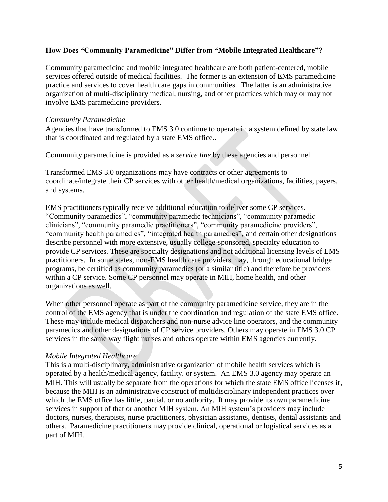#### **How Does "Community Paramedicine" Differ from "Mobile Integrated Healthcare"?**

Community paramedicine and mobile integrated healthcare are both patient-centered, mobile services offered outside of medical facilities. The former is an extension of EMS paramedicine practice and services to cover health care gaps in communities. The latter is an administrative organization of multi-disciplinary medical, nursing, and other practices which may or may not involve EMS paramedicine providers.

#### *Community Paramedicine*

Agencies that have transformed to EMS 3.0 continue to operate in a system defined by state law that is coordinated and regulated by a state EMS office..

Community paramedicine is provided as a *service line* by these agencies and personnel.

Transformed EMS 3.0 organizations may have contracts or other agreements to coordinate/integrate their CP services with other health/medical organizations, facilities, payers, and systems.

EMS practitioners typically receive additional education to deliver some CP services. "Community paramedics", "community paramedic technicians", "community paramedic clinicians", "community paramedic practitioners", "community paramedicine providers", "community health paramedics", "integrated health paramedics", and certain other designations describe personnel with more extensive, usually college-sponsored, specialty education to provide CP services. These are specialty designations and not additional licensing levels of EMS practitioners. In some states, non-EMS health care providers may, through educational bridge programs, be certified as community paramedics (or a similar title) and therefore be providers within a CP service. Some CP personnel may operate in MIH, home health, and other organizations as well.

When other personnel operate as part of the community paramedicine service, they are in the control of the EMS agency that is under the coordination and regulation of the state EMS office. These may include medical dispatchers and non-nurse advice line operators, and the community paramedics and other designations of CP service providers. Others may operate in EMS 3.0 CP services in the same way flight nurses and others operate within EMS agencies currently.

#### *Mobile Integrated Healthcare*

This is a multi-disciplinary, administrative organization of mobile health services which is operated by a health/medical agency, facility, or system. An EMS 3.0 agency may operate an MIH. This will usually be separate from the operations for which the state EMS office licenses it, because the MIH is an administrative construct of multidisciplinary independent practices over which the EMS office has little, partial, or no authority. It may provide its own paramedicine services in support of that or another MIH system. An MIH system's providers may include doctors, nurses, therapists, nurse practitioners, physician assistants, dentists, dental assistants and others. Paramedicine practitioners may provide clinical, operational or logistical services as a part of MIH.